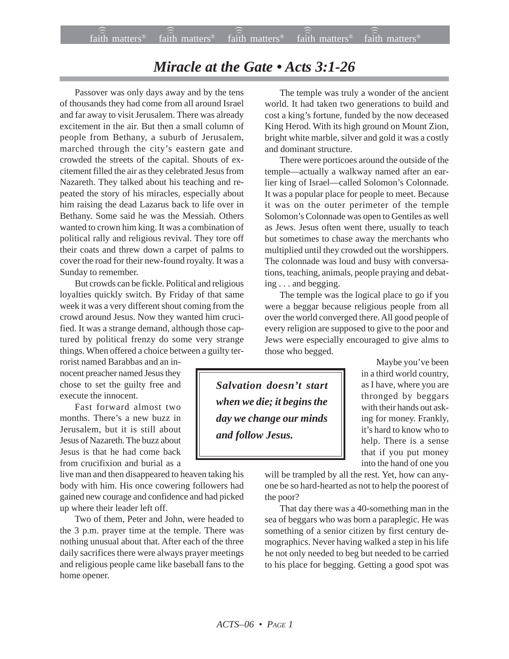## *Miracle at the Gate • Acts 3:1-26*

Passover was only days away and by the tens of thousands they had come from all around Israel and far away to visit Jerusalem. There was already excitement in the air. But then a small column of people from Bethany, a suburb of Jerusalem, marched through the city's eastern gate and crowded the streets of the capital. Shouts of excitement filled the air as they celebrated Jesus from Nazareth. They talked about his teaching and repeated the story of his miracles, especially about him raising the dead Lazarus back to life over in Bethany. Some said he was the Messiah. Others wanted to crown him king. It was a combination of political rally and religious revival. They tore off their coats and threw down a carpet of palms to cover the road for their new-found royalty. It was a Sunday to remember.

But crowds can be fickle. Political and religious loyalties quickly switch. By Friday of that same week it was a very different shout coming from the crowd around Jesus. Now they wanted him crucified. It was a strange demand, although those captured by political frenzy do some very strange things. When offered a choice between a guilty ter-

rorist named Barabbas and an innocent preacher named Jesus they chose to set the guilty free and execute the innocent.

Fast forward almost two months. There's a new buzz in Jerusalem, but it is still about Jesus of Nazareth. The buzz about Jesus is that he had come back from crucifixion and burial as a

live man and then disappeared to heaven taking his body with him. His once cowering followers had gained new courage and confidence and had picked up where their leader left off.

Two of them, Peter and John, were headed to the 3 p.m. prayer time at the temple. There was nothing unusual about that. After each of the three daily sacrifices there were always prayer meetings and religious people came like baseball fans to the home opener.

The temple was truly a wonder of the ancient world. It had taken two generations to build and cost a king's fortune, funded by the now deceased King Herod. With its high ground on Mount Zion, bright white marble, silver and gold it was a costly and dominant structure.

There were porticoes around the outside of the temple—actually a walkway named after an earlier king of Israel—called Solomon's Colonnade. It was a popular place for people to meet. Because it was on the outer perimeter of the temple Solomon's Colonnade was open to Gentiles as well as Jews. Jesus often went there, usually to teach but sometimes to chase away the merchants who multiplied until they crowded out the worshippers. The colonnade was loud and busy with conversations, teaching, animals, people praying and debating . . . and begging.

The temple was the logical place to go if you were a beggar because religious people from all over the world converged there. All good people of every religion are supposed to give to the poor and Jews were especially encouraged to give alms to those who begged.

*Salvation doesn't start when we die; it begins the day we change our minds and follow Jesus.*

Maybe you've been in a third world country, as I have, where you are thronged by beggars with their hands out asking for money. Frankly, it's hard to know who to help. There is a sense that if you put money into the hand of one you

will be trampled by all the rest. Yet, how can anyone be so hard-hearted as not to help the poorest of the poor?

That day there was a 40-something man in the sea of beggars who was born a paraplegic. He was something of a senior citizen by first century demographics. Never having walked a step in his life he not only needed to beg but needed to be carried to his place for begging. Getting a good spot was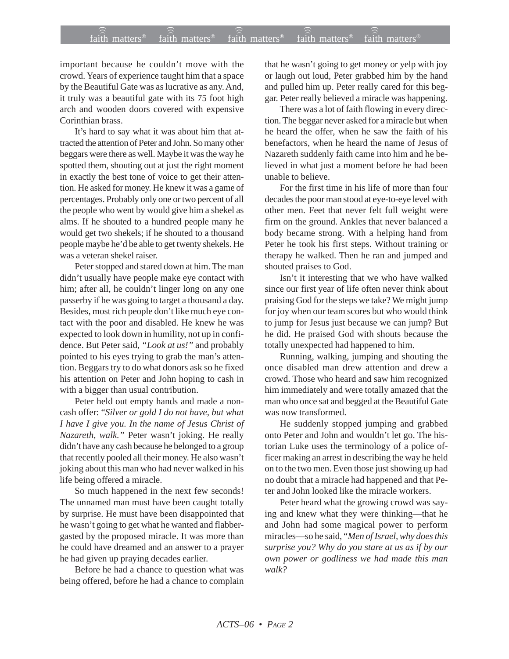## $f$ aith matters® staith matters® staith matters® staith matters® staith matters® faith matters<sup>®</sup> faith matters<sup>®</sup>  $\sqrt{\text{faith}}$  matters<sup>®</sup>

important because he couldn't move with the crowd. Years of experience taught him that a space by the Beautiful Gate was as lucrative as any. And, it truly was a beautiful gate with its 75 foot high arch and wooden doors covered with expensive Corinthian brass.

It's hard to say what it was about him that attracted the attention of Peter and John. So many other beggars were there as well. Maybe it was the way he spotted them, shouting out at just the right moment in exactly the best tone of voice to get their attention. He asked for money. He knew it was a game of percentages. Probably only one or two percent of all the people who went by would give him a shekel as alms. If he shouted to a hundred people many he would get two shekels; if he shouted to a thousand people maybe he'd be able to get twenty shekels. He was a veteran shekel raiser.

Peter stopped and stared down at him. The man didn't usually have people make eye contact with him; after all, he couldn't linger long on any one passerby if he was going to target a thousand a day. Besides, most rich people don't like much eye contact with the poor and disabled. He knew he was expected to look down in humility, not up in confidence. But Peter said, *"Look at us!"* and probably pointed to his eyes trying to grab the man's attention. Beggars try to do what donors ask so he fixed his attention on Peter and John hoping to cash in with a bigger than usual contribution.

Peter held out empty hands and made a noncash offer: "*Silver or gold I do not have, but what I have I give you. In the name of Jesus Christ of Nazareth, walk."* Peter wasn't joking. He really didn't have any cash because he belonged to a group that recently pooled all their money. He also wasn't joking about this man who had never walked in his life being offered a miracle.

So much happened in the next few seconds! The unnamed man must have been caught totally by surprise. He must have been disappointed that he wasn't going to get what he wanted and flabbergasted by the proposed miracle. It was more than he could have dreamed and an answer to a prayer he had given up praying decades earlier.

Before he had a chance to question what was being offered, before he had a chance to complain that he wasn't going to get money or yelp with joy or laugh out loud, Peter grabbed him by the hand and pulled him up. Peter really cared for this beggar. Peter really believed a miracle was happening.

There was a lot of faith flowing in every direction. The beggar never asked for a miracle but when he heard the offer, when he saw the faith of his benefactors, when he heard the name of Jesus of Nazareth suddenly faith came into him and he believed in what just a moment before he had been unable to believe.

For the first time in his life of more than four decades the poor man stood at eye-to-eye level with other men. Feet that never felt full weight were firm on the ground. Ankles that never balanced a body became strong. With a helping hand from Peter he took his first steps. Without training or therapy he walked. Then he ran and jumped and shouted praises to God.

Isn't it interesting that we who have walked since our first year of life often never think about praising God for the steps we take? We might jump for joy when our team scores but who would think to jump for Jesus just because we can jump? But he did. He praised God with shouts because the totally unexpected had happened to him.

Running, walking, jumping and shouting the once disabled man drew attention and drew a crowd. Those who heard and saw him recognized him immediately and were totally amazed that the man who once sat and begged at the Beautiful Gate was now transformed.

He suddenly stopped jumping and grabbed onto Peter and John and wouldn't let go. The historian Luke uses the terminology of a police officer making an arrest in describing the way he held on to the two men. Even those just showing up had no doubt that a miracle had happened and that Peter and John looked like the miracle workers.

Peter heard what the growing crowd was saying and knew what they were thinking—that he and John had some magical power to perform miracles—so he said, "*Men of Israel, why does this surprise you? Why do you stare at us as if by our own power or godliness we had made this man walk?*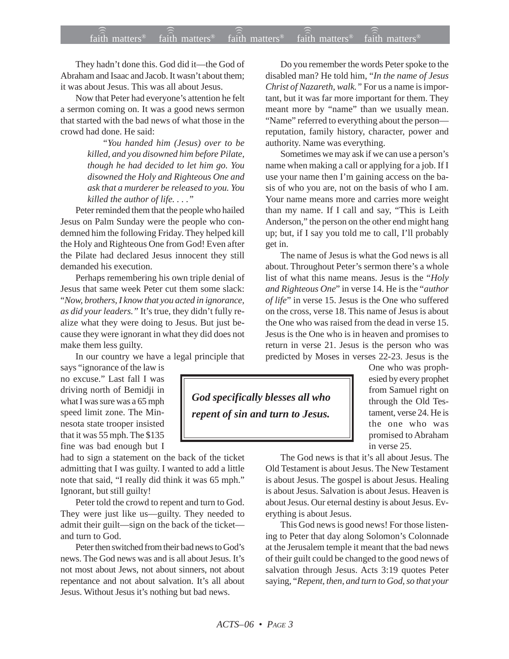## $f$ aith matters® staith matters® staith matters® staith matters® staith matters® faith matters<sup>®</sup> faith matters<sup>®</sup>  $\widehat{4aith}$  matters<sup>®</sup>

They hadn't done this. God did it—the God of Abraham and Isaac and Jacob. It wasn't about them; it was about Jesus. This was all about Jesus.

Now that Peter had everyone's attention he felt a sermon coming on. It was a good news sermon that started with the bad news of what those in the crowd had done. He said:

> *"You handed him (Jesus) over to be killed, and you disowned him before Pilate, though he had decided to let him go. You disowned the Holy and Righteous One and ask that a murderer be released to you. You killed the author of life. . . ."*

Peter reminded them that the people who hailed Jesus on Palm Sunday were the people who condemned him the following Friday. They helped kill the Holy and Righteous One from God! Even after the Pilate had declared Jesus innocent they still demanded his execution.

Perhaps remembering his own triple denial of Jesus that same week Peter cut them some slack: "*Now, brothers, I know that you acted in ignorance, as did your leaders."* It's true, they didn't fully realize what they were doing to Jesus. But just because they were ignorant in what they did does not make them less guilty.

In our country we have a legal principle that

says "ignorance of the law is no excuse." Last fall I was driving north of Bemidji in what I was sure was a 65 mph speed limit zone. The Minnesota state trooper insisted that it was 55 mph. The \$135 fine was bad enough but I

had to sign a statement on the back of the ticket admitting that I was guilty. I wanted to add a little note that said, "I really did think it was 65 mph." Ignorant, but still guilty!

Peter told the crowd to repent and turn to God. They were just like us—guilty. They needed to admit their guilt—sign on the back of the ticket and turn to God.

Peter then switched from their bad news to God's news. The God news was and is all about Jesus. It's not most about Jews, not about sinners, not about repentance and not about salvation. It's all about Jesus. Without Jesus it's nothing but bad news.

Do you remember the words Peter spoke to the disabled man? He told him, "*In the name of Jesus Christ of Nazareth, walk."* For us a name is important, but it was far more important for them. They meant more by "name" than we usually mean. "Name" referred to everything about the person reputation, family history, character, power and authority. Name was everything.

Sometimes we may ask if we can use a person's name when making a call or applying for a job. If I use your name then I'm gaining access on the basis of who you are, not on the basis of who I am. Your name means more and carries more weight than my name. If I call and say, "This is Leith Anderson," the person on the other end might hang up; but, if I say you told me to call, I'll probably get in.

The name of Jesus is what the God news is all about. Throughout Peter's sermon there's a whole list of what this name means. Jesus is the "*Holy and Righteous One*" in verse 14. He is the "*author of life*" in verse 15. Jesus is the One who suffered on the cross, verse 18. This name of Jesus is about the One who was raised from the dead in verse 15. Jesus is the One who is in heaven and promises to return in verse 21. Jesus is the person who was predicted by Moses in verses 22-23. Jesus is the

*God specifically blesses all who repent of sin and turn to Jesus.*

One who was prophesied by every prophet from Samuel right on through the Old Testament, verse 24. He is the one who was promised to Abraham in verse 25.

The God news is that it's all about Jesus. The Old Testament is about Jesus. The New Testament is about Jesus. The gospel is about Jesus. Healing is about Jesus. Salvation is about Jesus. Heaven is about Jesus. Our eternal destiny is about Jesus. Everything is about Jesus.

This God news is good news! For those listening to Peter that day along Solomon's Colonnade at the Jerusalem temple it meant that the bad news of their guilt could be changed to the good news of salvation through Jesus. Acts 3:19 quotes Peter saying, "*Repent, then, and turn to God, so that your*